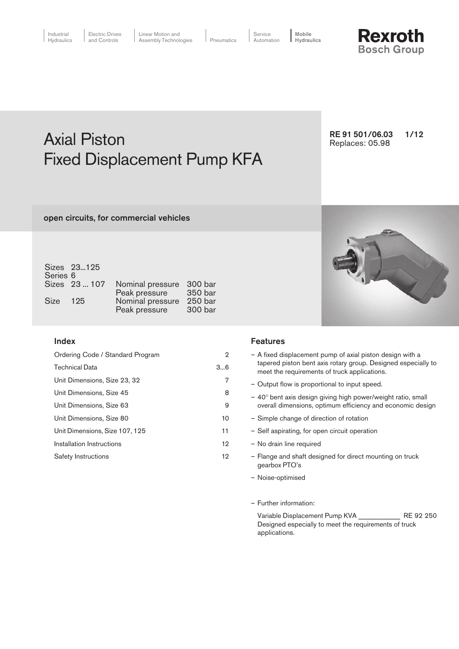

# Axial Piston **Axial Piston** RE 91 501/06.03 1/12 Fixed Displacement Pump KFA

open circuits, for commercial vehicles

| Series <sub>6</sub> | Sizes 23125   |                                           |                    |
|---------------------|---------------|-------------------------------------------|--------------------|
|                     | Sizes 23  107 | Nominal pressure 300 bar<br>Peak pressure | 350 bar            |
| Size 125            |               | Nominal pressure<br>Peak pressure         | 250 bar<br>300 bar |

### Index

| Ordering Code / Standard Program | $\overline{2}$ |
|----------------------------------|----------------|
| <b>Technical Data</b>            | 36             |
| Unit Dimensions, Size 23, 32     | 7              |
| Unit Dimensions, Size 45         | 8              |
| Unit Dimensions, Size 63         | 9              |
| Unit Dimensions, Size 80         | 10             |
| Unit Dimensions, Size 107, 125   | 11             |
| Installation Instructions        | 12             |
| Safety Instructions              | 12             |



### Features

- A fixed displacement pump of axial piston design with a tapered piston bent axis rotary group. Designed especially to meet the requirements of truck applications.
- Output flow is proportional to input speed.
- 40° bent axis design giving high power/weight ratio, small overall dimensions, optimum efficiency and economic design
- Simple change of direction of rotation
- Self aspirating, for open circuit operation
- No drain line required
- Flange and shaft designed for direct mounting on truck gearbox PTO's
- Noise-optimised
- Further information:

Variable Displacement Pump KVA \_\_\_\_\_\_\_\_\_\_\_\_ RE 92 250 Designed especially to meet the requirements of truck applications.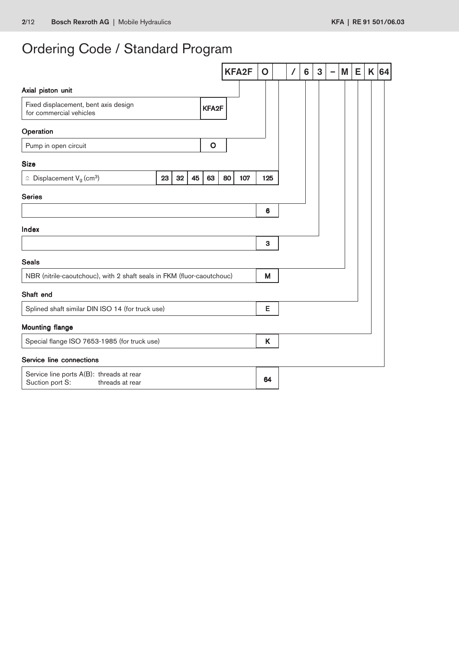# Ordering Code / Standard Program

|                                                                                |    |    |    |              |    | <b>KFA2F</b> | $\mathbf O$ |  | 6 | 3 | ۰ | M | Е | K | 64 |
|--------------------------------------------------------------------------------|----|----|----|--------------|----|--------------|-------------|--|---|---|---|---|---|---|----|
| Axial piston unit                                                              |    |    |    |              |    |              |             |  |   |   |   |   |   |   |    |
| Fixed displacement, bent axis design<br>for commercial vehicles                |    |    |    | KFA2F        |    |              |             |  |   |   |   |   |   |   |    |
| Operation                                                                      |    |    |    |              |    |              |             |  |   |   |   |   |   |   |    |
| Pump in open circuit                                                           |    |    |    | $\mathbf{o}$ |    |              |             |  |   |   |   |   |   |   |    |
| <b>Size</b>                                                                    |    |    |    |              |    |              |             |  |   |   |   |   |   |   |    |
| $\hat{=}$ Displacement V <sub>g</sub> (cm <sup>3</sup> )                       | 23 | 32 | 45 | 63           | 80 | 107          | 125         |  |   |   |   |   |   |   |    |
| <b>Series</b>                                                                  |    |    |    |              |    |              |             |  |   |   |   |   |   |   |    |
|                                                                                |    |    |    |              |    |              | 6           |  |   |   |   |   |   |   |    |
| Index                                                                          |    |    |    |              |    |              |             |  |   |   |   |   |   |   |    |
|                                                                                |    |    |    |              |    |              | 3           |  |   |   |   |   |   |   |    |
| <b>Seals</b>                                                                   |    |    |    |              |    |              |             |  |   |   |   |   |   |   |    |
| NBR (nitrile-caoutchouc), with 2 shaft seals in FKM (fluor-caoutchouc)         |    |    |    |              |    |              | M           |  |   |   |   |   |   |   |    |
| Shaft end                                                                      |    |    |    |              |    |              |             |  |   |   |   |   |   |   |    |
| Splined shaft similar DIN ISO 14 (for truck use)                               |    |    |    |              |    |              | Е           |  |   |   |   |   |   |   |    |
| <b>Mounting flange</b>                                                         |    |    |    |              |    |              |             |  |   |   |   |   |   |   |    |
| Special flange ISO 7653-1985 (for truck use)                                   |    |    |    |              |    |              | K           |  |   |   |   |   |   |   |    |
| Service line connections                                                       |    |    |    |              |    |              |             |  |   |   |   |   |   |   |    |
| Service line ports A(B): threads at rear<br>Suction port S:<br>threads at rear |    |    |    |              |    |              | 64          |  |   |   |   |   |   |   |    |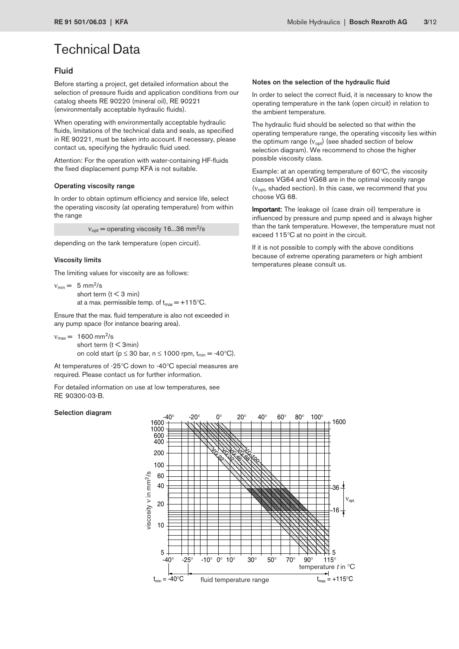### Fluid

Before starting a project, get detailed information about the selection of pressure fluids and application conditions from our catalog sheets RE 90220 (mineral oil), RE 90221 (environmentally acceptable hydraulic fluids).

When operating with environmentally acceptable hydraulic fluids, limitations of the technical data and seals, as specified in RE 90221, must be taken into account. If necessary, please contact us, specifying the hydraulic fluid used.

Attention: For the operation with water-containing HF-fluids the fixed displacement pump KFA is not suitable.

#### Operating viscosity range

In order to obtain optimum efficiency and service life, select the operating viscosity (at operating temperature) from within the range

 $v_{opt}$  = operating viscosity 16...36 mm<sup>2</sup>/s

depending on the tank temperature (open circuit).

#### Viscosity limits

The limiting values for viscosity are as follows:

 $v_{\text{min}} = 5$  mm<sup>2</sup>/s short term ( $t < 3$  min) at a max. permissible temp. of  $t_{\text{max}} = +115^{\circ}C$ .

Ensure that the max. fluid temperature is also not exceeded in any pump space (for instance bearing area).

```
v_{\text{max}} = 1600 \text{ mm}^2/\text{s}short term (t < 3min)
```
on cold start ( $p \le 30$  bar,  $n \le 1000$  rpm,  $t_{min} = -40$ °C).

At temperatures of -25°C down to -40°C special measures are required. Please contact us for further information.

For detailed information on use at low temperatures, see RE 90300-03-B.

#### Selection diagram

#### Notes on the selection of the hydraulic fluid

In order to select the correct fluid, it is necessary to know the operating temperature in the tank (open circuit) in relation to the ambient temperature.

The hydraulic fluid should be selected so that within the operating temperature range, the operating viscosity lies within the optimum range  $(v_{opt})$  (see shaded section of below selection diagram). We recommend to chose the higher possible viscosity class.

Example: at an operating temperature of 60°C, the viscosity classes VG64 and VG68 are in the optimal viscosity range (v<sub>opt</sub>, shaded section). In this case, we recommend that you choose VG 68.

Important: The leakage oil (case drain oil) temperature is influenced by pressure and pump speed and is always higher than the tank temperature. However, the temperature must not exceed 115°C at no point in the circuit.

If it is not possible to comply with the above conditions because of extreme operating parameters or high ambient temperatures please consult us.

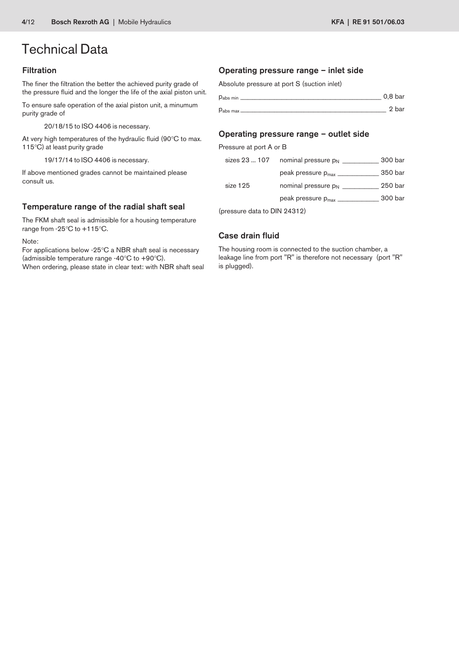### Filtration

The finer the filtration the better the achieved purity grade of the pressure fluid and the longer the life of the axial piston unit.

To ensure safe operation of the axial piston unit, a minumum purity grade of

20/18/15 to ISO 4406 is necessary.

At very high temperatures of the hydraulic fluid (90°C to max. 115°C) at least purity grade

19/17/14 to ISO 4406 is necessary.

If above mentioned grades cannot be maintained please consult us.

### Temperature range of the radial shaft seal

The FKM shaft seal is admissible for a housing temperature range from -25°C to +115°C.

Note:

For applications below -25°C a NBR shaft seal is necessary (admissible temperature range -40°C to +90°C). When ordering, please state in clear text: with NBR shaft seal

### Operating pressure range – inlet side

Absolute pressure at port S (suction inlet)

| $D_{\text{abs min}}$ $\_\_$ | 0.8 <sub>bar</sub> |
|-----------------------------|--------------------|
| $P_{\text{abs max}}$        | 2 bar              |

#### Operating pressure range – outlet side

Pressure at port A or B

| sizes 23  107 | nominal pressure p <sub>N</sub>        | 300 bar |
|---------------|----------------------------------------|---------|
|               | peak pressure $p_{max}$ __             | 350 bar |
| size 125      | nominal pressure $p_N$                 | 250 bar |
|               | peak pressure p <sub>max</sub> _______ | 300 bar |
|               |                                        |         |

(pressure data to DIN 24312)

### Case drain fluid

The housing room is connected to the suction chamber, a leakage line from port "R" is therefore not necessary (port "R" is plugged).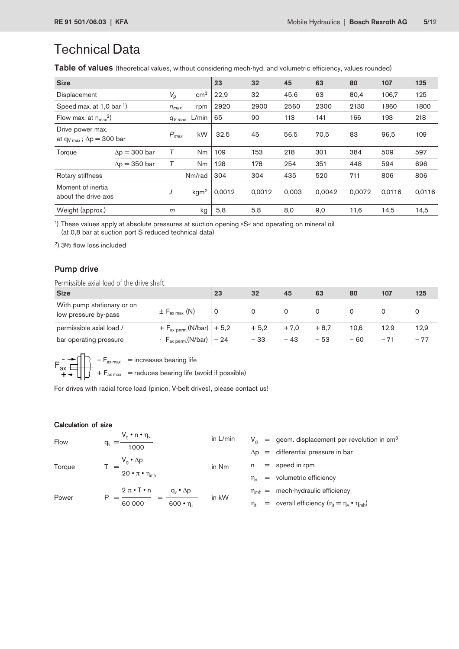Table of values (theoretical values, without considering mech-hyd. and volumetric efficiency, values rounded)

| <b>Size</b>                                                       |                      |           |                  | 23     | 32     | 45    | 63     | 80     | 107    | 125    |
|-------------------------------------------------------------------|----------------------|-----------|------------------|--------|--------|-------|--------|--------|--------|--------|
| Displacement                                                      |                      | $V_g$     | cm <sup>3</sup>  | 22,9   | 32     | 45,6  | 63     | 80,4   | 106,7  | 125    |
| Speed max. at 1,0 bar 1)                                          |                      | $n_{max}$ | rpm              | 2920   | 2900   | 2560  | 2300   | 2130   | 1860   | 1800   |
| Flow max. at $n_{max}^2$                                          |                      | $qv$ max  | L/min            | 65     | 90     | 113   | 141    | 166    | 193    | 218    |
| Drive power max.<br>at $q_{V \text{ max}}$ ; $\Delta p = 300$ bar |                      | $P_{max}$ | kW               | 32,5   | 45     | 56,5  | 70,5   | 83     | 96,5   | 109    |
| Torque                                                            | $\Delta p = 300$ bar |           | Nm               | 109    | 153    | 218   | 301    | 384    | 509    | 597    |
|                                                                   | $\Delta p = 350$ bar |           | Nm               | 128    | 178    | 254   | 351    | 448    | 594    | 696    |
| Rotary stiffness                                                  |                      |           | Nm/rad           | 304    | 304    | 435   | 520    | 711    | 806    | 806    |
| Moment of inertia<br>about the drive axis                         |                      | J         | kgm <sup>2</sup> | 0,0012 | 0.0012 | 0,003 | 0.0042 | 0.0072 | 0,0116 | 0,0116 |
| Weight (approx.)                                                  |                      | m         | kg               | 5,8    | 5,8    | 8,0   | 9,0    | 11,6   | 14,5   | 14,5   |

1 ) These values apply at absolute pressures at suction opening »S« and operating on mineral oil (at 0,8 bar at suction port S reduced technical data)

2) 3% flow loss included

### Pump drive

Permissible axial load of the drive shaft.

| <b>Size</b>                                        |                                             | 23 | 32     | 45     | 63     | 80    | 107   | 125   |
|----------------------------------------------------|---------------------------------------------|----|--------|--------|--------|-------|-------|-------|
| With pump stationary or on<br>low pressure by-pass | $\pm$ F <sub>ax max</sub> (N)               | 0  |        | 0      |        |       |       |       |
| permissible axial load /                           | $+ F_{\text{ax perm.}}(N/\text{bar}) + 5.2$ |    | $+5,2$ | $+7.0$ | $+8.7$ | 10.6  | 12.9  | 12,9  |
| bar operating pressure                             | - $F_{ax\,perm.}(N/bar)$   - 24             |    | $-33$  | $-43$  | $-53$  | $-60$ | $-71$ | $-77$ |

 $F_{ax \, max}$  = increases bearing life  $+$  F<sub>ax max</sub> = reduces bearing life (avoid if possible) -  $\ddot{+}$  $\mathsf{F}_{\mathsf{ax}}$ 

For drives with radial force load (pinion, V-belt drives), please contact us!

#### Calculation of size

| Flow   | $V_g \cdot n \cdot \eta_v$<br>q,<br>1000                      | in L/min |
|--------|---------------------------------------------------------------|----------|
| Torque | $V_g \cdot \Delta p$<br>$20 \cdot \pi \cdot \eta_{\text{mh}}$ | in Nm    |

 $V<sub>g</sub>$  = geom. displacement per revolution in cm<sup>3</sup>

 $\Delta p =$  differential pressure in bar

- $n = speed in rpm$
- $\eta_v$  = volumetric efficiency
- $\eta_{mh}$  = mech-hydraulic efficiency
- $\eta_t$  = overall efficiency ( $\eta_t = \eta_v \cdot \eta_{mh}$ )

 $2 \pi \cdot T \cdot n$  q<sub>v</sub> •  $\Delta p$ Power  $P = \frac{}{60\,000} = \frac{}{600 \cdot \eta_t}$  in kW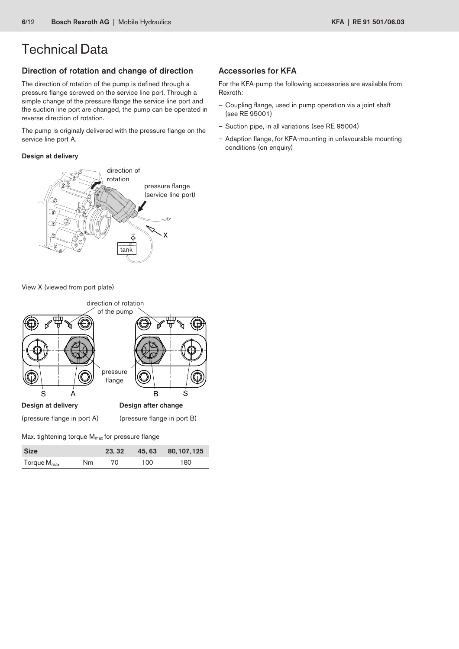### Direction of rotation and change of direction

The direction of rotation of the pump is defined through a pressure flange screwed on the service line port. Through a simple change of the pressure flange the service line port and the suction line port are changed, the pump can be operated in reverse direction of rotation.

The pump is originaly delivered with the pressure flange on the service line port A.

### Design at delivery



View X (viewed from port plate)



| <b>Size</b>             |    | 23.32 |     | 45, 63 80, 107, 125 |
|-------------------------|----|-------|-----|---------------------|
| Torque M <sub>max</sub> | Nm | 70.   | 100 | 180                 |

### Accessories for KFA

For the KFA-pump the following accessories are available from Rexroth:

- Coupling flange, used in pump operation via a joint shaft (see RE 95001)
- Suction pipe, in all variations (see RE 95004)
- Adaption flange, for KFA-mounting in unfavourable mounting conditions (on enquiry)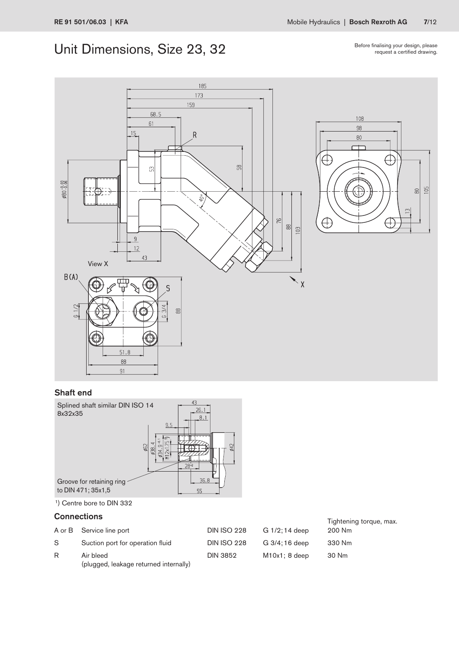# Unit Dimensions, Size 23, 32

Before finalising your design, please request a certified drawing.

> $\frac{105}{2}$  $\frac{80}{2}$

 $\infty$ 







<sup>1</sup>) Centre bore to DIN 332

## **Connections** Connections **Tightening torque, max.**

|    | A or B Service line port                            | <b>DIN ISO 228</b> | G 1/2; 14 deep   | 200 Nm |
|----|-----------------------------------------------------|--------------------|------------------|--------|
| S. | Suction port for operation fluid                    | <b>DIN ISO 228</b> | G 3/4; 16 deep   | 330 Nm |
| R  | Air bleed<br>(plugged, leakage returned internally) | <b>DIN 3852</b>    | $M10x1$ ; 8 deep | 30 Nm  |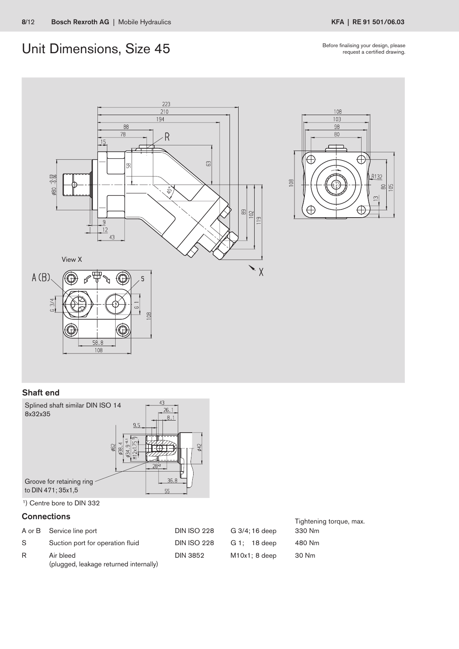# Unit Dimensions, Size 45 Before finalising your design, please

request a certified drawing.





### Shaft end



<sup>1</sup>) Centre bore to DIN 332

| <b>Connections</b> |                                                     | Tightening torque, max. |                  |        |
|--------------------|-----------------------------------------------------|-------------------------|------------------|--------|
|                    | A or B Service line port                            | <b>DIN ISO 228</b>      | G 3/4; 16 deep   | 330 Nm |
| S.                 | Suction port for operation fluid                    | <b>DIN ISO 228</b>      | $G_1$ ; 18 deep  | 480 Nm |
| R                  | Air bleed<br>(plugged, leakage returned internally) | <b>DIN 3852</b>         | $M10x1$ ; 8 deep | 30 Nm  |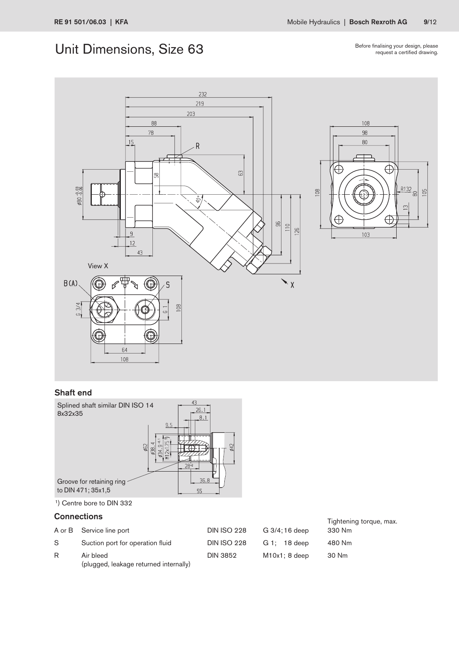# Unit Dimensions, Size 63

Before finalising your design, please<br>request a certified drawing.



### Shaft end



<sup>1</sup>) Centre bore to DIN 332

|    | <b>Connections</b>                                  | Tightening torque, max. |                  |        |
|----|-----------------------------------------------------|-------------------------|------------------|--------|
|    | A or B Service line port                            | <b>DIN ISO 228</b>      | G 3/4; 16 deep   | 330 Nm |
| S. | Suction port for operation fluid                    | <b>DIN ISO 228</b>      | $G_1$ ; 18 deep  | 480 Nm |
| R  | Air bleed<br>(plugged, leakage returned internally) | <b>DIN 3852</b>         | $M10x1$ ; 8 deep | 30 Nm  |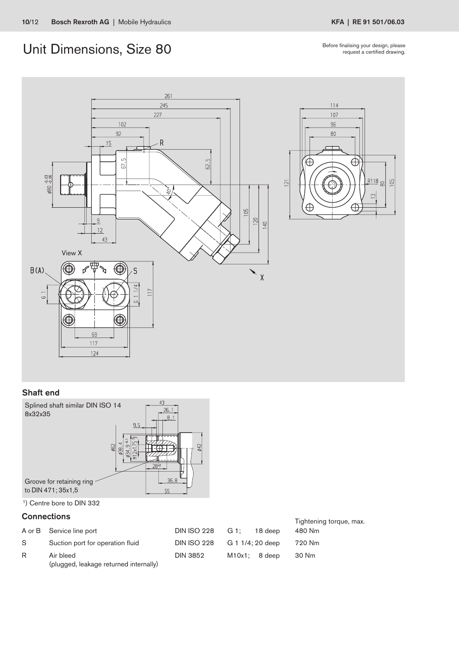# Unit Dimensions, Size 80 Before finalising your design, please

request a certified drawing.



### Shaft end



<sup>1</sup>) Centre bore to DIN 332

### **Connections** Connections **Connections Connections Connections Connections Connections C**

|    | A or B Service line port                            | <b>DIN ISO 228</b> | G 1: | 18 deep          | <b>Hyntoming torque, max.</b><br>480 Nm |
|----|-----------------------------------------------------|--------------------|------|------------------|-----------------------------------------|
| S. | Suction port for operation fluid                    | <b>DIN ISO 228</b> |      | G 1 1/4; 20 deep | 720 Nm                                  |
| R  | Air bleed<br>(plugged, leakage returned internally) | <b>DIN 3852</b>    |      | $M10x1: 8$ deep  | -30 Nm                                  |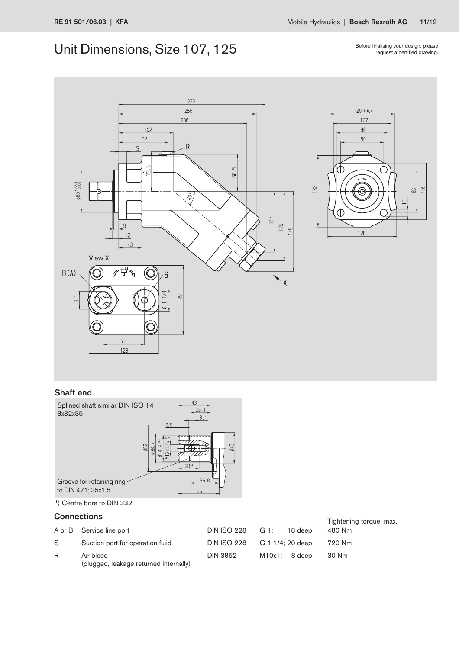# Unit Dimensions, Size 107, 125

Before finalising your design, please<br>request a certified drawing.



### Shaft end



<sup>1</sup>) Centre bore to DIN 332

|    | <b>Connections</b>                                  | Tightening torque, max. |                  |        |
|----|-----------------------------------------------------|-------------------------|------------------|--------|
|    | A or B Service line port                            | DIN ISO 228             | G 1:<br>18 deep  | 480 Nm |
| S. | Suction port for operation fluid                    | <b>DIN ISO 228</b>      | G 1 1/4; 20 deep | 720 Nm |
| R  | Air bleed<br>(plugged, leakage returned internally) | <b>DIN 3852</b>         | $M10x1: 8$ deep  | 30 Nm  |